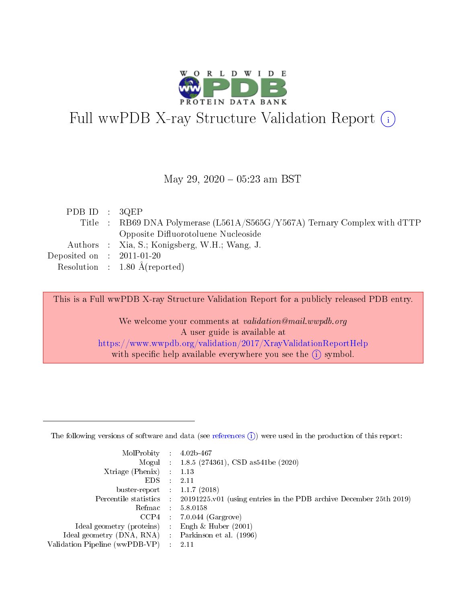

# Full wwPDB X-ray Structure Validation Report (i)

#### May 29, 2020 - 05:23 am BST

| PDB ID : $3QEP$             |                                                                           |
|-----------------------------|---------------------------------------------------------------------------|
|                             | Title : RB69 DNA Polymerase (L561A/S565G/Y567A) Ternary Complex with dTTP |
|                             | Opposite Difluorotoluene Nucleoside                                       |
|                             | Authors : Xia, S.; Konigsberg, W.H.; Wang, J.                             |
| Deposited on : $2011-01-20$ |                                                                           |
|                             | Resolution : $1.80 \text{ Å}$ (reported)                                  |

This is a Full wwPDB X-ray Structure Validation Report for a publicly released PDB entry.

We welcome your comments at validation@mail.wwpdb.org A user guide is available at <https://www.wwpdb.org/validation/2017/XrayValidationReportHelp> with specific help available everywhere you see the  $(i)$  symbol.

The following versions of software and data (see [references](https://www.wwpdb.org/validation/2017/XrayValidationReportHelp#references)  $(1)$ ) were used in the production of this report:

| MolProbity                     | $\mathcal{L}_{\rm{max}}$ | $4.02b - 467$                                                                |
|--------------------------------|--------------------------|------------------------------------------------------------------------------|
|                                |                          | Mogul : $1.8.5$ (274361), CSD as 541be (2020)                                |
| $X$ triage (Phenix) :          |                          | 1.13                                                                         |
| EDS.                           |                          | 2.11                                                                         |
| buster-report : $1.1.7$ (2018) |                          |                                                                              |
| Percentile statistics :        |                          | $20191225 \text{ v}01$ (using entries in the PDB archive December 25th 2019) |
| Refmac                         |                          | 5.8.0158                                                                     |
| $CCP4$ :                       |                          | $7.0.044$ (Gargrove)                                                         |
| Ideal geometry (proteins) :    |                          | Engh $\&$ Huber (2001)                                                       |
| Ideal geometry (DNA, RNA) :    |                          | Parkinson et al. (1996)                                                      |
| Validation Pipeline (wwPDB-VP) | $\mathcal{L}$            | -2.11                                                                        |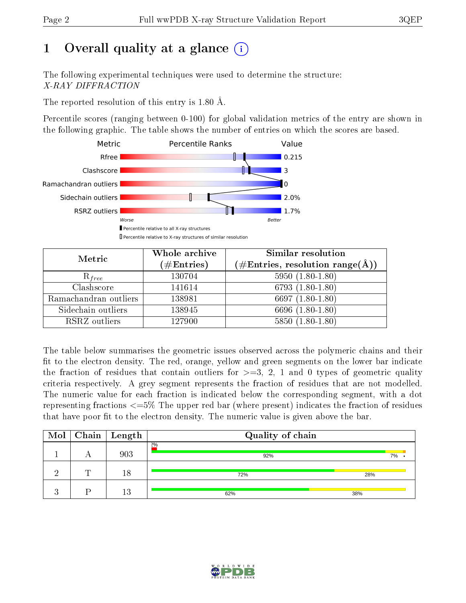# 1 [O](https://www.wwpdb.org/validation/2017/XrayValidationReportHelp#overall_quality)verall quality at a glance  $(i)$

The following experimental techniques were used to determine the structure: X-RAY DIFFRACTION

The reported resolution of this entry is 1.80 Å.

Percentile scores (ranging between 0-100) for global validation metrics of the entry are shown in the following graphic. The table shows the number of entries on which the scores are based.



| Metric                | Whole archive<br>$(\#\text{Entries})$ | <b>Similar resolution</b><br>$(\#\text{Entries}, \text{resolution range}(\text{\AA}))$ |
|-----------------------|---------------------------------------|----------------------------------------------------------------------------------------|
| $R_{free}$            | 130704                                | $5950(1.80-1.80)$                                                                      |
| Clashscore            | 141614                                | $6793(1.80-1.80)$                                                                      |
| Ramachandran outliers | 138981                                | 6697 $(1.80-1.80)$                                                                     |
| Sidechain outliers    | 138945                                | 6696 (1.80-1.80)                                                                       |
| RSRZ outliers         | 127900                                | $5850(1.80-1.80)$                                                                      |

The table below summarises the geometric issues observed across the polymeric chains and their fit to the electron density. The red, orange, yellow and green segments on the lower bar indicate the fraction of residues that contain outliers for  $>=3, 2, 1$  and 0 types of geometric quality criteria respectively. A grey segment represents the fraction of residues that are not modelled. The numeric value for each fraction is indicated below the corresponding segment, with a dot representing fractions  $\epsilon=5\%$  The upper red bar (where present) indicates the fraction of residues that have poor fit to the electron density. The numeric value is given above the bar.

|   | $\boxed{\text{Mol}}$ Chain   Length | Quality of chain |     |
|---|-------------------------------------|------------------|-----|
|   | 903                                 | 2%<br>92%        | 7%  |
| T | 18                                  | 72%              | 28% |
|   | 13                                  | 62%              | 38% |

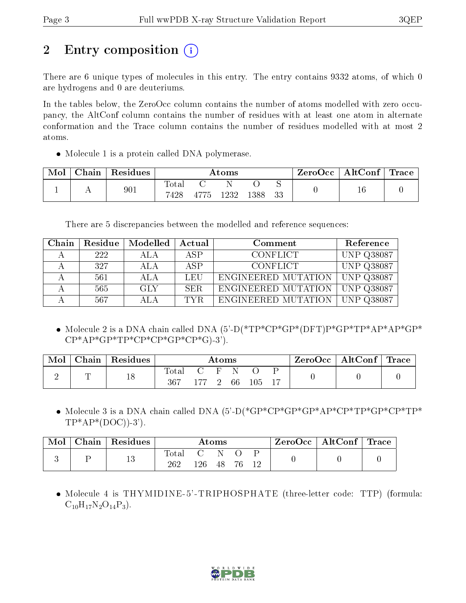# 2 Entry composition  $\left( \cdot \right)$

There are 6 unique types of molecules in this entry. The entry contains 9332 atoms, of which 0 are hydrogens and 0 are deuteriums.

In the tables below, the ZeroOcc column contains the number of atoms modelled with zero occupancy, the AltConf column contains the number of residues with at least one atom in alternate conformation and the Trace column contains the number of residues modelled with at most 2 atoms.

• Molecule 1 is a protein called DNA polymerase.

| Mol | Chain | $^{\shortmid}$ Residues | $\rm{Atoms}$  |      |      | ZeroOcc | $\mid$ AltConf $\mid$ Trace $\mid$ |  |        |  |
|-----|-------|-------------------------|---------------|------|------|---------|------------------------------------|--|--------|--|
|     |       | 901                     | Total<br>7428 | 4775 | 1232 | 1388    | 33                                 |  | $16\,$ |  |

There are 5 discrepancies between the modelled and reference sequences:

| Chain | Residue | Modelled | Actual | Comment             | Reference         |
|-------|---------|----------|--------|---------------------|-------------------|
|       | 222     | ALA      | ASP    | <b>CONFLICT</b>     | <b>UNP Q38087</b> |
|       | 327     | ALA      | ASP    | <b>CONFLICT</b>     | <b>UNP Q38087</b> |
|       | 561     | ALA      | LEU    | ENGINEERED MUTATION | <b>UNP Q38087</b> |
|       | 565     | GLY      | SER.   | ENGINEERED MUTATION | <b>UNP Q38087</b> |
|       | 567     | ALA      | TYR.   | ENGINEERED MUTATION | <b>UNP Q38087</b> |

 Molecule 2 is a DNA chain called DNA (5'-D(\*TP\*CP\*GP\*(DFT)P\*GP\*TP\*AP\*AP\*GP\*  $CP^*AP^*GP^*TP^*CP^*CP^*GP^*CP^*GP^*G$ .

| Mol | Chain | $\perp$ Residues | $\rm{Atoms}$ |          |  |  | $\text{ZeroOcc} \mid \text{AltConf} \mid \text{Trace}$ |  |  |  |
|-----|-------|------------------|--------------|----------|--|--|--------------------------------------------------------|--|--|--|
|     |       |                  | Total<br>367 | 177 2 66 |  |  | 105 17                                                 |  |  |  |

• Molecule 3 is a DNA chain called DNA (5'-D(\*GP\*CP\*GP\*GP\*AP\*CP\*TP\*GP\*CP\*TP\*  $TP^*AP^*(DOC)$ -3').

| Mol | ${\bf Chain}$ $\,$ | Residues  |                       |     | Atoms |     | ZeroOcc | $\vert$ AltConf $\vert$ | $\perp$ Trace |
|-----|--------------------|-----------|-----------------------|-----|-------|-----|---------|-------------------------|---------------|
|     |                    | 19.<br>TΟ | $_{\rm Total}$<br>262 | 126 | 48    | 1 ດ |         |                         |               |

• Molecule 4 is THYMIDINE-5'-TRIPHOSPHATE (three-letter code: TTP) (formula:  $C_{10}H_{17}N_2O_{14}P_3$ .

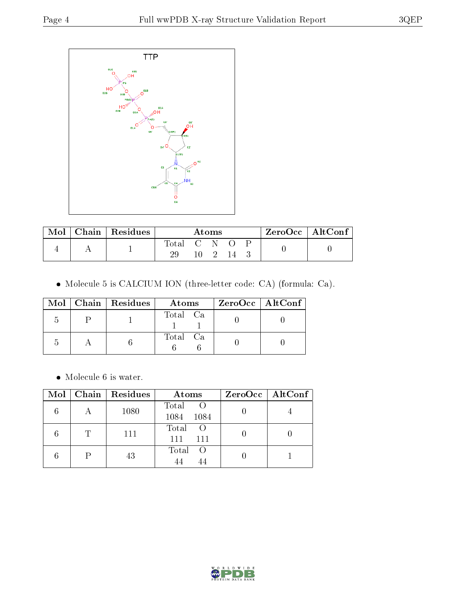

| Mol | $\vert$ Chain $\vert$ Residues | Atoms       |  |      | ZeroOcc   AltConf |  |
|-----|--------------------------------|-------------|--|------|-------------------|--|
|     |                                | Total C N O |  |      |                   |  |
|     |                                |             |  | 10 2 |                   |  |

Molecule 5 is CALCIUM ION (three-letter code: CA) (formula: Ca).

|   | $Mol$   Chain   Residues | Atoms    | $ZeroOcc \   \ AltConf \  $ |
|---|--------------------------|----------|-----------------------------|
| h |                          | Total Ca |                             |
|   |                          | Total Ca |                             |

 $\bullet\,$  Molecule 6 is water.

| Mol | Chain   Residues | Atoms                                | $ZeroOcc$   AltConf |
|-----|------------------|--------------------------------------|---------------------|
|     | 1080             | Total<br>1084<br>$-1084$             |                     |
|     | 111              | Total<br><sup>()</sup><br>111<br>111 |                     |
|     | 43               | Total<br>$\left( \right)$            |                     |

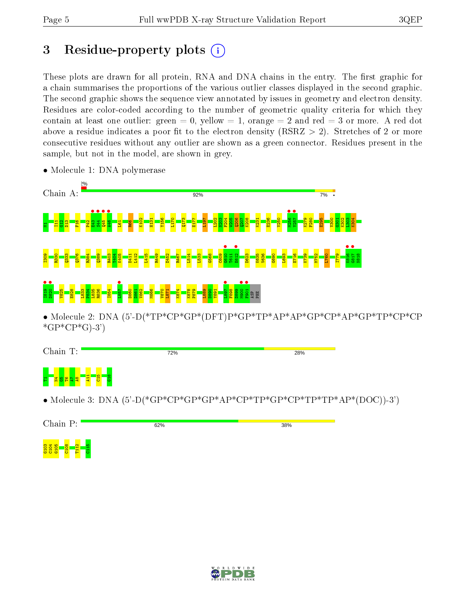# 3 Residue-property plots  $(i)$

These plots are drawn for all protein, RNA and DNA chains in the entry. The first graphic for a chain summarises the proportions of the various outlier classes displayed in the second graphic. The second graphic shows the sequence view annotated by issues in geometry and electron density. Residues are color-coded according to the number of geometric quality criteria for which they contain at least one outlier: green  $= 0$ , yellow  $= 1$ , orange  $= 2$  and red  $= 3$  or more. A red dot above a residue indicates a poor fit to the electron density (RSRZ  $> 2$ ). Stretches of 2 or more consecutive residues without any outlier are shown as a green connector. Residues present in the sample, but not in the model, are shown in grey.



• Molecule 1: DNA polymerase

Chain T: 72% 28%  $\frac{11}{2}$  $\frac{5}{215}$  $\frac{8}{15}$ 1<mark>98 198 1</mark>2

• Molecule 3: DNA  $(5^{\circ}D(*\text{GP*}\text{CP*}\text{GP*}\text{GP*}\text{AP*}\text{CP*}\text{TP*}\text{GP*}\text{CP*}\text{TP*}\text{TP*}\text{TP*}\text{TP*}\text{AP*}(\text{DOC})-3')$ 



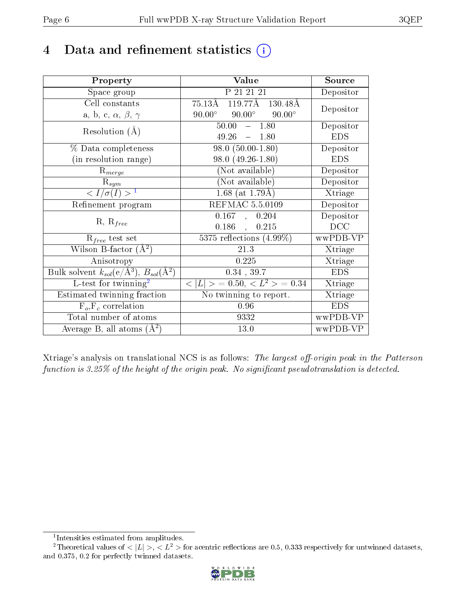## 4 Data and refinement statistics  $(i)$

| Property                                                             | Value                                               | Source     |
|----------------------------------------------------------------------|-----------------------------------------------------|------------|
| Space group                                                          | P 21 21 21                                          | Depositor  |
| Cell constants                                                       | $75.13\text{\AA}$ 119.77Å 130.48Å                   | Depositor  |
| a, b, c, $\alpha$ , $\beta$ , $\gamma$                               | $90.00^\circ$<br>$90.00^{\circ}$<br>$90.00^{\circ}$ |            |
| Resolution $(A)$                                                     | 50.00<br>$-1.80$                                    | Depositor  |
|                                                                      | 49.26<br>$-1.80$                                    | <b>EDS</b> |
| % Data completeness                                                  | $98.0(50.00-1.80)$                                  | Depositor  |
| (in resolution range)                                                | 98.0 (49.26-1.80)                                   | <b>EDS</b> |
| $R_{merge}$                                                          | (Not available)                                     | Depositor  |
| $\mathrm{R}_{sym}$                                                   | (Not available)                                     | Depositor  |
| $\sqrt{I/\sigma(I)} > 1$                                             | $1.68$ (at 1.79Å)                                   | Xtriage    |
| Refinement program                                                   | <b>REFMAC 5.5.0109</b>                              | Depositor  |
|                                                                      | 0.167,<br>0.204                                     | Depositor  |
| $R, R_{free}$                                                        | $0.186$ ,<br>0.215                                  | DCC        |
| $R_{free}$ test set                                                  | 5375 reflections $(4.99\%)$                         | wwPDB-VP   |
| Wilson B-factor $(A^2)$                                              | 21.3                                                | Xtriage    |
| Anisotropy                                                           | 0.225                                               | Xtriage    |
| Bulk solvent $k_{sol}(e/\mathring{A}^3)$ , $B_{sol}(\mathring{A}^2)$ | $0.34$ , 39.7                                       | <b>EDS</b> |
| $L$ -test for twinning <sup>2</sup>                                  | $< L >$ = 0.50, $< L2 >$ = 0.34                     | Xtriage    |
| Estimated twinning fraction                                          | No twinning to report.                              | Xtriage    |
| $F_o, F_c$ correlation                                               | 0.96                                                | <b>EDS</b> |
| Total number of atoms                                                | 9332                                                | wwPDB-VP   |
| Average B, all atoms $(A^2)$                                         | 13.0                                                | wwPDB-VP   |

Xtriage's analysis on translational NCS is as follows: The largest off-origin peak in the Patterson function is  $3.25\%$  of the height of the origin peak. No significant pseudotranslation is detected.

<sup>&</sup>lt;sup>2</sup>Theoretical values of  $\langle |L| \rangle$ ,  $\langle L^2 \rangle$  for acentric reflections are 0.5, 0.333 respectively for untwinned datasets, and 0.375, 0.2 for perfectly twinned datasets.



<span id="page-5-1"></span><span id="page-5-0"></span><sup>1</sup> Intensities estimated from amplitudes.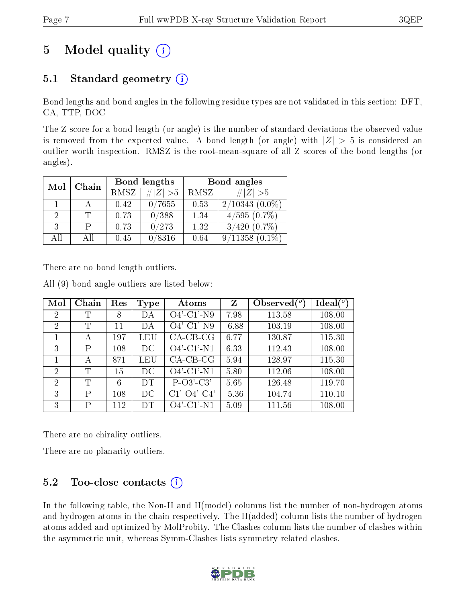# 5 Model quality  $(i)$

## 5.1 Standard geometry  $(i)$

Bond lengths and bond angles in the following residue types are not validated in this section: DFT, CA, TTP, DOC

The Z score for a bond length (or angle) is the number of standard deviations the observed value is removed from the expected value. A bond length (or angle) with  $|Z| > 5$  is considered an outlier worth inspection. RMSZ is the root-mean-square of all Z scores of the bond lengths (or angles).

| Mol | Chain | Bond lengths |             | Bond angles |                   |  |
|-----|-------|--------------|-------------|-------------|-------------------|--|
|     |       | RMSZ         | $\# Z  > 5$ | RMSZ        | # $ Z >5$         |  |
|     |       | 0.42         | 0/7655      | 0.53        | $2/10343(0.0\%)$  |  |
| 2   |       | 0.73         | 0/388       | 1.34        | $4/595(0.7\%)$    |  |
| 3   |       | 0.73         | 0/273       | 1.32        | $3/420$ $(0.7\%)$ |  |
| AII | All   | 0.45         | 0/8316      | 0.64        | 9/11358           |  |

There are no bond length outliers.

|  |  |  |  | All (9) bond angle outliers are listed below: |  |  |  |  |
|--|--|--|--|-----------------------------------------------|--|--|--|--|
|--|--|--|--|-----------------------------------------------|--|--|--|--|

| Mol            | Chain | Res | <b>Type</b> | Atoms         | Z       | Observed $(°)$ | $\text{Ideal}(\textsuperscript{o})$ |
|----------------|-------|-----|-------------|---------------|---------|----------------|-------------------------------------|
| 2              | Τ     | 8   | DA          | $O4'$ -C1'-N9 | 7.98    | 113.58         | 108.00                              |
| $\overline{2}$ | T     | 11  | DА          | $O4'$ -C1'-N9 | $-6.88$ | 103.19         | 108.00                              |
| 1              | A     | 197 | LEU         | $CA-CB-CG$    | 6.77    | 130.87         | 115.30                              |
| 3              | P     | 108 | $_{\rm DC}$ | $O4'$ -C1'-N1 | 6.33    | 112.43         | 108.00                              |
|                | А     | 871 | LEU         | $CA-CB-CG$    | 5.94    | 128.97         | 115.30                              |
| 2              | T     | 15  | DC          | $O4'$ -C1'-N1 | 5.80    | 112.06         | 108.00                              |
| $\overline{2}$ | T     | 6   | DТ          | $P-O3'-C3'$   | 5.65    | 126.48         | 119.70                              |
| 3              | Ρ     | 108 | DC          | $C1'-O4'-C4'$ | $-5.36$ | 104.74         | 110.10                              |
| 3              | P     | 112 | DT          | $O4'$ -C1'-N1 | 5.09    | 111.56         | 108.00                              |

There are no chirality outliers.

There are no planarity outliers.

### $5.2$  Too-close contacts  $(i)$

In the following table, the Non-H and H(model) columns list the number of non-hydrogen atoms and hydrogen atoms in the chain respectively. The H(added) column lists the number of hydrogen atoms added and optimized by MolProbity. The Clashes column lists the number of clashes within the asymmetric unit, whereas Symm-Clashes lists symmetry related clashes.

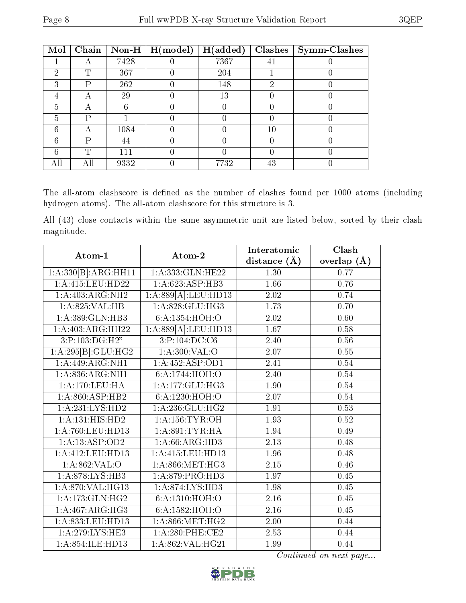| Mol | Chain | $\mid$ Non-H $\mid$ | $\mid$ H(model) | H(added) | Clashes | Symm-Clashes |
|-----|-------|---------------------|-----------------|----------|---------|--------------|
|     |       | 7428                |                 | 7367     | 41      |              |
| 2   | Τ     | 367                 |                 | 204      |         |              |
| 3   | Ρ     | 262                 |                 | 148      | 2       |              |
|     | А     | 29                  |                 | 13       |         |              |
| 5   | А     | 6                   |                 |          |         |              |
| 5   | Р     |                     |                 |          |         |              |
| 6   | A     | 1084                |                 |          | 10      |              |
| 6   | P     | 44                  |                 |          |         |              |
| 6   | ௱     | 111                 |                 |          |         |              |
| All | Αll   | 9332                |                 | 7732     | 43      |              |

The all-atom clashscore is defined as the number of clashes found per 1000 atoms (including hydrogen atoms). The all-atom clashscore for this structure is 3.

All (43) close contacts within the same asymmetric unit are listed below, sorted by their clash magnitude.

| Atom-1                          | Atom-2                      | Interatomic       | Clash         |  |
|---------------------------------|-----------------------------|-------------------|---------------|--|
|                                 |                             | distance $(\AA)$  | overlap $(A)$ |  |
| 1:A:330[B]:ARG:HH11             | 1:A:333:GLN:HE22            | 1.30              | 0.77          |  |
| 1:A:415:LEU:HD22                | 1:A:623:ASP:HB3             | 1.66              | 0.76          |  |
| 1:A:403:ARG:NH2                 | 1:A:889[A]:LEU:HD13         | 2.02              | 0.74          |  |
| 1:A:825:VAL:HB                  | 1:A:828:GLU:HG3             | 1.73              | 0.70          |  |
| 1: A: 389: GLN: HB3             | 6:A:1354:HOH:O              | 2.02              | 0.60          |  |
| 1:A:403:ARG:HH22                | 1:A:889[A]:LEU:HD13         | $\overline{1.67}$ | 0.58          |  |
| 3:P:103:DG:H2"                  | 3:P:104:DC:C6               | 2.40              | 0.56          |  |
| $1:A.\overline{295 B .GLU:HG2}$ | 1: A:300: VAL:O             | 2.07              | 0.55          |  |
| 1:A:449:ARG:NH1                 | 1:A:452:ASP:OD1             | 2.41              | 0.54          |  |
| 1: A:836:ARG:NH1                | 6:A:1744:HOH:O              | 2.40              | 0.54          |  |
| 1:A:170:LEU:HA                  | 1:A:177:GLU:HG3             | 1.90              | 0.54          |  |
| 1: A:860: ASP:HB2               | 6: A: 1230: HOH:O           | $2.07\,$          | 0.54          |  |
| 1: A: 231: LYS: HD2             | 1:A:236:GLU:HG2             | $\overline{1.91}$ | 0.53          |  |
| 1:A:131:HIS:HD2                 | 1: A: 156: TYR: OH          | 1.93              | $0.52\,$      |  |
| 1:A:760:LEU:HD13                | 1: A:891:TYR:HA             | 1.94              | 0.49          |  |
| 1:A:13:ASP:OD2                  | 1:A:66:ARG:HD3              | 2.13              | 0.48          |  |
| 1: A: 412: LEU: HD13            | 1:A:415:LEU:HD13            | 1.96              | 0.48          |  |
| 1: A:862:VAL:O                  | 1: A:866:MET:HG3            | $\overline{2.15}$ | 0.46          |  |
| 1:A:878:LYS:HB3                 | 1:A:879:PRO:HD3             | 1.97              | 0.45          |  |
| 1:A:870:VAL:HG13                | 1: A:874: LYS: HD3          | 1.98              | 0.45          |  |
| 1: A:173: GLN: HG2              | $6:A:1310:\overline{HOH:O}$ | 2.16              | 0.45          |  |
| $1:A:467:A\overline{RG:HG3}$    | 6:A:1582:HOH:O              | 2.16              | 0.45          |  |
| 1:A:833:LEU:HD13                | 1: A:866: MET:HG2           | 2.00              | 0.44          |  |
| 1:A:279:LYS:HE3                 | 1:A:280:PHE:CE2             | 2.53              | 0.44          |  |
| 1: A:854: ILE: HD13             | 1: A:862: VAL:HG21          | 1.99              | 0.44          |  |

Continued on next page...

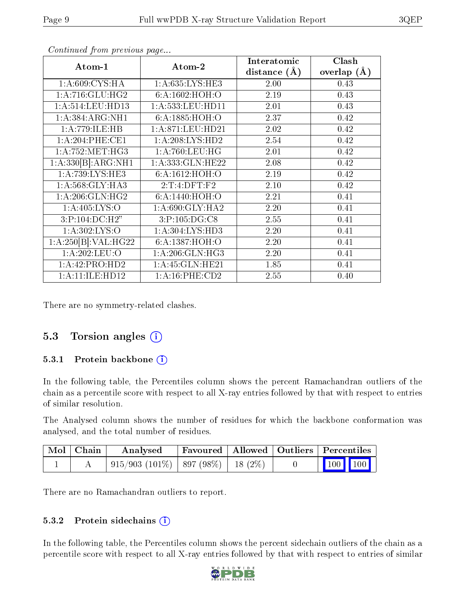| Atom-1                              | Atom-2              | Interatomic    | Clash         |  |
|-------------------------------------|---------------------|----------------|---------------|--|
|                                     |                     | distance $(A)$ | overlap $(A)$ |  |
| 1: A:609: CYS:HA                    | 1: A: 635: LYS: HE3 | 2.00           | 0.43          |  |
| 1:A:716:GLU:HG2                     | 6: A:1602: HOH:O    | 2.19           | 0.43          |  |
| 1:A:514:LEU:HD13                    | 1:A:533:LEU:HD11    | 2.01           | 0.43          |  |
| 1: A: 384: ARG: NH1                 | 6:A:1885:HOH:O      | 2.37           | 0.42          |  |
| 1:A:779:ILE:HB                      | 1: A:871:LEU:HD21   | 2.02           | 0.42          |  |
| 1:A:204:PHE:CE1                     | 1: A:208: LYS: HD2  | 2.54           | 0.42          |  |
| 1: A: 752: MET: HG3                 | 1: A:760:LEU:HG     | 2.01           | 0.42          |  |
| 1:A:330[B]:ARG:NH1                  | 1:A:333:GLN:HE22    | 2.08           | 0.42          |  |
| $1:A:739:\overline{\text{LYS:HE3}}$ | 6: A: 1612: HOH:O   | 2.19           | 0.42          |  |
| 1: A:568: GLY:HA3                   | 2:T:4:DFT:F2        | 2.10           | 0.42          |  |
| 1: A:206: GLN: HG2                  | 6:A:1440:HOH:O      | 2.21           | 0.41          |  |
| 1: A:405: LYS:O                     | 1: A:690: GLY: HA2  | 2.20           | 0.41          |  |
| 3:P:104:DC:H2"                      | 3:P:105:DG:CS       | 2.55           | 0.41          |  |
| 1:A:302:LYS:O                       | 1: A:304: LYS:HD3   | 2.20           | 0.41          |  |
| 1:A:250[B]:VAL:H G22                | 6: A: 1387: HOH:O   | 2.20           | 0.41          |  |
| 1:A:202:LEU:O                       | 1: A:206: GLN: HG3  | 2.20           | 0.41          |  |
| 1:A:42:PRO:HD2                      | 1: A:45: GLN:HE21   | 1.85           | 0.41          |  |
| 1:A:11:ILE:HDI2                     | 1: A:16: PHE:CD2    | 2.55           | 0.40          |  |

Continued from previous page...

There are no symmetry-related clashes.

### 5.3 Torsion angles (i)

#### 5.3.1 Protein backbone (i)

In the following table, the Percentiles column shows the percent Ramachandran outliers of the chain as a percentile score with respect to all X-ray entries followed by that with respect to entries of similar resolution.

The Analysed column shows the number of residues for which the backbone conformation was analysed, and the total number of residues.

| $\mid$ Mol $\mid$ Chain | Analysed                                                   | Favoured   Allowed   Outliers   Percentiles |  |                         |  |
|-------------------------|------------------------------------------------------------|---------------------------------------------|--|-------------------------|--|
|                         | $\mid 915/903 \ (101\%) \mid 897 \ (98\%) \mid 18 \ (2\%)$ |                                             |  | $\vert$ 100 100 $\vert$ |  |

There are no Ramachandran outliers to report.

#### 5.3.2 Protein sidechains  $(i)$

In the following table, the Percentiles column shows the percent sidechain outliers of the chain as a percentile score with respect to all X-ray entries followed by that with respect to entries of similar

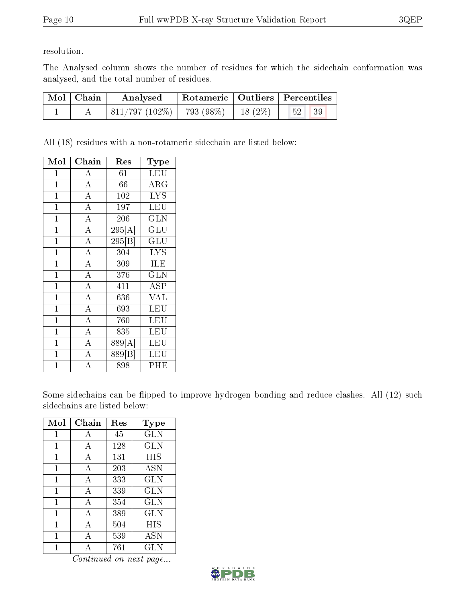resolution.

The Analysed column shows the number of residues for which the sidechain conformation was analysed, and the total number of residues.

| $\mathrm{Mol}\mid\mathrm{Chain}$ | Analysed                                  |  | Rotameric   Outliers   Percentiles |  |
|----------------------------------|-------------------------------------------|--|------------------------------------|--|
|                                  | $811/797 (102\%)$   793 (98\%)   18 (2\%) |  | /52'<br>39                         |  |

All (18) residues with a non-rotameric sidechain are listed below:

| Mol            | Chain              | Res                 | Type                 |
|----------------|--------------------|---------------------|----------------------|
| $\overline{1}$ | А                  | 61                  | <b>LEU</b>           |
| $\overline{1}$ | $\overline{A}$     | 66                  | $\rm{ARG}$           |
| $\overline{1}$ | $\overline{A}$     | 102                 | <b>LYS</b>           |
| $\overline{1}$ | $\overline{\rm A}$ | 197                 | LEU                  |
| $\overline{1}$ | $\overline{\rm A}$ | 206                 | <b>GLN</b>           |
| $\overline{1}$ | $\overline{\rm A}$ | $\overline{295[A]}$ | $\operatorname{GLU}$ |
| $\mathbf{1}$   | $\overline{\rm A}$ | $\overline{295 B }$ | $\operatorname{GLU}$ |
| $\mathbf{1}$   | $\overline{\rm A}$ | 304                 | <b>LYS</b>           |
| $\mathbf 1$    | $\overline{A}$     | 309                 | ILE                  |
| $\mathbf{1}$   | $\overline{\rm A}$ | 376                 | GLN                  |
| $\mathbf{1}$   | $\overline{\rm A}$ | 411                 | ASP                  |
| $\mathbf 1$    | $\overline{\rm A}$ | 636                 | <b>VAL</b>           |
| $\mathbf 1$    | $\overline{\rm A}$ | 693                 | LEU                  |
| $\mathbf{1}$   | $\overline{\rm A}$ | 760                 | LEU                  |
| $\mathbf{1}$   | $\overline{\rm A}$ | 835                 | LEU                  |
| $\mathbf{1}$   | $\overline{\rm A}$ | 889[A]              | LEU                  |
| $\mathbf{1}$   | $\overline{\rm A}$ | $\overline{8}89[B]$ | LEU                  |
| $\overline{1}$ | А                  | 898                 | PHE                  |

Some sidechains can be flipped to improve hydrogen bonding and reduce clashes. All (12) such sidechains are listed below:

| Mol          | Chain          | Res | Type       |
|--------------|----------------|-----|------------|
| $\mathbf{1}$ | А              | 45  | GLN        |
| $\mathbf{1}$ | A              | 128 | <b>GLN</b> |
| 1            | А              | 131 | <b>HIS</b> |
| 1            | $\overline{A}$ | 203 | <b>ASN</b> |
| 1            | А              | 333 | <b>GLN</b> |
| 1            | A              | 339 | <b>GLN</b> |
| 1            | А              | 354 | <b>GLN</b> |
| $\mathbf{1}$ | А              | 389 | <b>GLN</b> |
| 1            | А              | 504 | HIS        |
| 1            | A              | 539 | <b>ASN</b> |
|              | А              | 761 | GLN        |

Continued on next page...

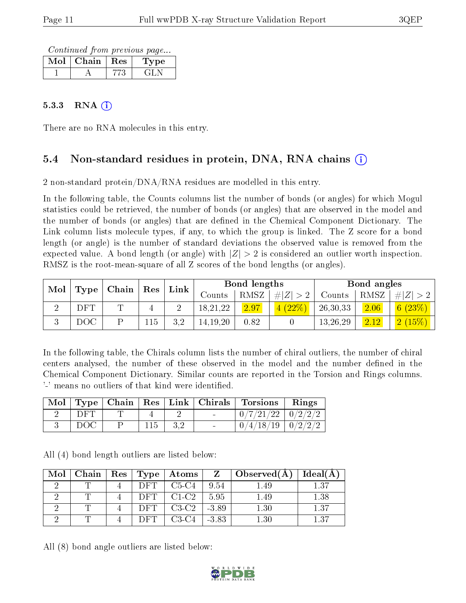Continued from previous page...

| Mol | Chain | $\pm$ Res $\pm$ | type |
|-----|-------|-----------------|------|
|     |       |                 |      |

#### $5.3.3$  RNA  $(i)$

There are no RNA molecules in this entry.

### 5.4 Non-standard residues in protein, DNA, RNA chains (i)

2 non-standard protein/DNA/RNA residues are modelled in this entry.

In the following table, the Counts columns list the number of bonds (or angles) for which Mogul statistics could be retrieved, the number of bonds (or angles) that are observed in the model and the number of bonds (or angles) that are defined in the Chemical Component Dictionary. The Link column lists molecule types, if any, to which the group is linked. The Z score for a bond length (or angle) is the number of standard deviations the observed value is removed from the expected value. A bond length (or angle) with  $|Z| > 2$  is considered an outlier worth inspection. RMSZ is the root-mean-square of all Z scores of the bond lengths (or angles).

| Mol |      | $\mid$ Chain $\mid$ Res $\mid$ |     | ${\rm Link}$ |            | Bond lengths |             |          | Bond angles |           |
|-----|------|--------------------------------|-----|--------------|------------|--------------|-------------|----------|-------------|-----------|
|     | Type |                                |     |              | Counts     | RMSZ         | # $ Z  > 2$ | Counts   | RMSZ        | $\# Z >2$ |
|     | DFT  | ╓                              |     |              | 18,21,22   | 2.97         | 4(22%)      | 26,30,33 | 2.06        | (23%)     |
|     | DOC  |                                | 115 | 29           | 14, 19, 20 | 0.82         |             | 13,26,29 | 2.12        | (15%)     |

In the following table, the Chirals column lists the number of chiral outliers, the number of chiral centers analysed, the number of these observed in the model and the number defined in the Chemical Component Dictionary. Similar counts are reported in the Torsion and Rings columns. '-' means no outliers of that kind were identified.

| Mol | $\Gamma$ ype |     |     | $\mid$ Chain $\mid$ Res $\mid$ Link $\mid$ Chirals $\mid$ Torsions $\mid$ | Rings |
|-----|--------------|-----|-----|---------------------------------------------------------------------------|-------|
|     | DE'I         |     |     | $0/7/21/22$   $0/2/2/2$                                                   |       |
|     | DOC          | 115 | 3,2 | $0/4/18/19$   $0/2/2/2$                                                   |       |

All (4) bond length outliers are listed below:

| Mol | Chain | $+$ Res $+$ | <b>Type</b> | $_+$ Atoms $_+$ |         | $\Box$ Observed(A) | Ideal(A) |
|-----|-------|-------------|-------------|-----------------|---------|--------------------|----------|
|     |       |             | DFT         | $C5-C4$         | 9.54    | 1.49               | 137      |
|     |       |             | DET         | $C1-C2$         | 5.95    | 1.49               | $1.38\,$ |
|     |       |             | DET         | $C3-C2$         | $-3.89$ | $1.30\,$           | 1.37     |
|     |       |             |             | C3-C4           | $-3.83$ |                    | $+27$    |

All (8) bond angle outliers are listed below:

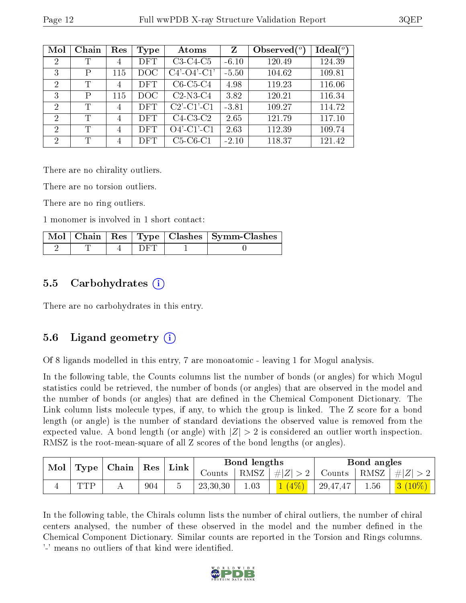| Mol            | Chain | Res            | Type       | Atoms                                    | Z       | Observed $(^\circ)$ | $\text{Ideal}({}^o)$ |
|----------------|-------|----------------|------------|------------------------------------------|---------|---------------------|----------------------|
| 2              | Т     | 4              | <b>DFT</b> | $C3-C4-C5$                               | $-6.10$ | 120.49              | 124.39               |
| 3              | Ρ     | 115            | DOC        | $C4'$ - $O4'$ - $C1'$                    | $-5.50$ | 104.62              | 109.81               |
| 2              | Т     | $\overline{4}$ | <b>DFT</b> | $C6-C5-C4$                               | 4.98    | 119.23              | 116.06               |
| 3              | Ρ     | 115            | DOC        | $C2-N3-C4$                               | 3.82    | 120.21              | 116.34               |
| 2              | T     | 4              | <b>DFT</b> | $C2$ <sup>-</sup> $C1$ <sup>-</sup> $C1$ | $-3.81$ | 109.27              | 114.72               |
| $\overline{2}$ | T     | $\overline{4}$ | <b>DFT</b> | $C4-C3-C2$                               | 2.65    | 121.79              | 117.10               |
| $\overline{2}$ | Т     | $\overline{4}$ | <b>DFT</b> | $O4'$ -C1'-C1                            | 2.63    | 112.39              | 109.74               |
| 2              | Τ     | $\overline{4}$ | <b>DFT</b> | $C5-C6-C1$                               | $-2.10$ | 118.37              | 121.42               |

There are no chirality outliers.

There are no torsion outliers.

There are no ring outliers.

1 monomer is involved in 1 short contact:

|  |  | Mol   Chain   Res   Type   Clashes   Symm-Clashes |
|--|--|---------------------------------------------------|
|  |  |                                                   |

#### 5.5 Carbohydrates (i)

There are no carbohydrates in this entry.

#### 5.6 Ligand geometry (i)

Of 8 ligands modelled in this entry, 7 are monoatomic - leaving 1 for Mogul analysis.

In the following table, the Counts columns list the number of bonds (or angles) for which Mogul statistics could be retrieved, the number of bonds (or angles) that are observed in the model and the number of bonds (or angles) that are dened in the Chemical Component Dictionary. The Link column lists molecule types, if any, to which the group is linked. The Z score for a bond length (or angle) is the number of standard deviations the observed value is removed from the expected value. A bond length (or angle) with  $|Z| > 2$  is considered an outlier worth inspection. RMSZ is the root-mean-square of all Z scores of the bond lengths (or angles).

| $\bf{Mol}$<br>$\mid$ Type $\mid$ Chain $\mid$ Res $\mid$ |     | $^+$ Link |  | Bond lengths                       |      | Bond angles |               |      |           |
|----------------------------------------------------------|-----|-----------|--|------------------------------------|------|-------------|---------------|------|-----------|
|                                                          |     |           |  | $\frac{1}{2}$ Counts $\frac{1}{2}$ | RMSZ | #Z  > 2     | Counts   RMSZ |      | $\# Z $   |
|                                                          | TTD | 904       |  | 23,30,30                           | 1.03 | $1(4\%)$    | 29,47,47      | 1.56 | $3(10\%)$ |

In the following table, the Chirals column lists the number of chiral outliers, the number of chiral centers analysed, the number of these observed in the model and the number defined in the Chemical Component Dictionary. Similar counts are reported in the Torsion and Rings columns. '-' means no outliers of that kind were identified.

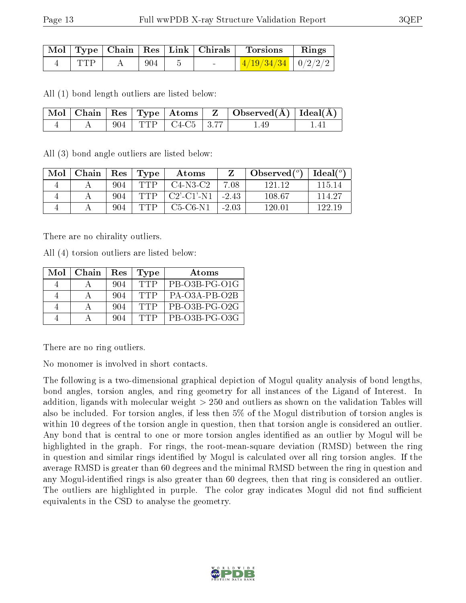|            |      |  | Mol   Type   Chain   Res   Link   Chirals   Torsions   Rings |  |
|------------|------|--|--------------------------------------------------------------|--|
| <b>TTP</b> | -904 |  | $1/19/34/34$ $0/2/2/2$                                       |  |

All (1) bond length outliers are listed below:

|  |  |                            | $\boxed{\text{ Mol }   \text{ Chain }   \text{ Res }   \text{ Type }   \text{ Atoms }   \text{ Z }   \text{ Observed}(\AA)  \text{ Ideal}(\AA)  }$ |       |
|--|--|----------------------------|----------------------------------------------------------------------------------------------------------------------------------------------------|-------|
|  |  | $A = 904$ TTP $C4-C5$ 3.77 | $1.49\,$                                                                                                                                           | - 141 |

All (3) bond angle outliers are listed below:

| Mol | Chain | $\operatorname{Res}$ | Type     | Atoms                |         | Observed $(°)$ | $\text{Ideal}({}^o)$ |
|-----|-------|----------------------|----------|----------------------|---------|----------------|----------------------|
|     |       | 904                  | TTP      | $C4-N3-C2$           | 7.08    | 121 12         | 115 14               |
|     |       | 904                  | TTP      | $C2'$ - $C1'$ - $N1$ | $-2.43$ | 108.67         | 114.27               |
|     |       | 904                  | _ ידוי ⊑ | $C5-C6-N1$           | $-2.03$ | 120.01         | 199 19               |

There are no chirality outliers.

All (4) torsion outliers are listed below:

| Mol | Chain | Res | Type  | Atoms                 |
|-----|-------|-----|-------|-----------------------|
|     |       | 904 | TTP   | PB-03B-PG-01G         |
|     |       | 904 | TTP   | $PA$ $O3A$ $PR$ $O2B$ |
|     |       | 904 | TTP   | PB-O3B-PG-O2G         |
|     |       | 904 | יו TP | PB-O3B-PG-O3G         |

There are no ring outliers.

No monomer is involved in short contacts.

The following is a two-dimensional graphical depiction of Mogul quality analysis of bond lengths, bond angles, torsion angles, and ring geometry for all instances of the Ligand of Interest. In addition, ligands with molecular weight > 250 and outliers as shown on the validation Tables will also be included. For torsion angles, if less then 5% of the Mogul distribution of torsion angles is within 10 degrees of the torsion angle in question, then that torsion angle is considered an outlier. Any bond that is central to one or more torsion angles identified as an outlier by Mogul will be highlighted in the graph. For rings, the root-mean-square deviation (RMSD) between the ring in question and similar rings identified by Mogul is calculated over all ring torsion angles. If the average RMSD is greater than 60 degrees and the minimal RMSD between the ring in question and any Mogul-identified rings is also greater than 60 degrees, then that ring is considered an outlier. The outliers are highlighted in purple. The color gray indicates Mogul did not find sufficient equivalents in the CSD to analyse the geometry.

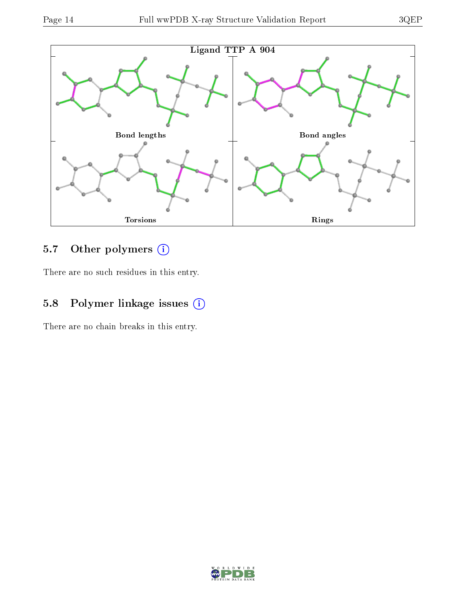

## 5.7 [O](https://www.wwpdb.org/validation/2017/XrayValidationReportHelp#nonstandard_residues_and_ligands)ther polymers (i)

There are no such residues in this entry.

## 5.8 Polymer linkage issues (i)

There are no chain breaks in this entry.

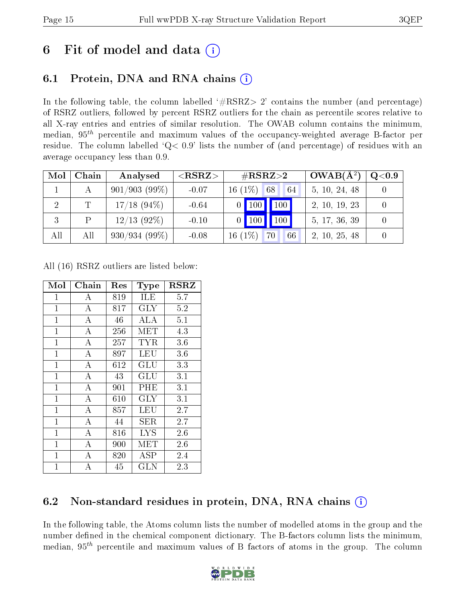# 6 Fit of model and data  $\left( \frac{1}{2} \right)$

### 6.1 Protein, DNA and RNA chains (i)

In the following table, the column labelled  $#RSRZ>2'$  contains the number (and percentage) of RSRZ outliers, followed by percent RSRZ outliers for the chain as percentile scores relative to all X-ray entries and entries of similar resolution. The OWAB column contains the minimum, median,  $95<sup>th</sup>$  percentile and maximum values of the occupancy-weighted average B-factor per residue. The column labelled ' $Q< 0.9$ ' lists the number of (and percentage) of residues with an average occupancy less than 0.9.

| Mol | Chain | Analysed       | ${ <\hspace{-1.5pt}{\mathrm{RSRZ}} \hspace{-1.5pt}>}$ | $\rm \#RSRZ{>}2$                 | $OWAB(A^2)$   | $\rm Q\textcolor{black}{<}0.9$ |
|-----|-------|----------------|-------------------------------------------------------|----------------------------------|---------------|--------------------------------|
|     |       | 901/903(99%)   | $-0.07$                                               | $16(1\%)$<br>68<br>64            | 5, 10, 24, 48 |                                |
| 2   | Τ     | $17/18$ (94\%) | $-0.64$                                               | $\blacksquare$ 100<br>$0$   100  | 2, 10, 19, 23 |                                |
| 3   |       | $12/13$ (92%)  | $-0.10$                                               | $\vert$ 100 $\vert$<br>$0$   100 | 5, 17, 36, 39 |                                |
| All | All   | 930/934(99%)   | $-0.08$                                               | $16(1\%)$<br>70<br>66            | 2, 10, 25, 48 |                                |

All (16) RSRZ outliers are listed below:

| Mol          | Chain              | Res | Type                 | $_{\rm RSRZ}$ |
|--------------|--------------------|-----|----------------------|---------------|
| $\mathbf 1$  | А                  | 819 | ILE                  | 5.7           |
| $\mathbf 1$  | A                  | 817 | $\rm GLY$            | 5.2           |
| $\mathbf{1}$ | A                  | 46  | ALA                  | 5.1           |
| $\mathbf{1}$ | $\bf{A}$           | 256 | MET                  | 4.3           |
| $\mathbf{1}$ | $\bf{A}$           | 257 | <b>TYR</b>           | 3.6           |
| $\mathbf{1}$ | $\overline{\rm A}$ | 897 | LEU                  | 3.6           |
| $\mathbf{1}$ | A                  | 612 | $\operatorname{GLU}$ | 3.3           |
| $\mathbf{1}$ | A                  | 43  | $\operatorname{GLU}$ | 3.1           |
| $\mathbf 1$  | $\overline{\rm A}$ | 901 | PHE                  | 3.1           |
| $\mathbf{1}$ | $\bf{A}$           | 610 | <b>GLY</b>           | 3.1           |
| $\mathbf 1$  | $\overline{\rm A}$ | 857 | LEU                  | 2.7           |
| $\mathbf{1}$ | $\boldsymbol{A}$   | 44  | SER                  | 2.7           |
| $\mathbf 1$  | $\boldsymbol{A}$   | 816 | <b>LYS</b>           | 2.6           |
| $\mathbf{1}$ | $\boldsymbol{A}$   | 900 | MET                  | 2.6           |
| $\mathbf 1$  | $\overline{A}$     | 820 | <b>ASP</b>           | 2.4           |
| 1            | А                  | 45  | GLN                  | 2.3           |

### 6.2 Non-standard residues in protein, DNA, RNA chains  $(i)$

In the following table, the Atoms column lists the number of modelled atoms in the group and the number defined in the chemical component dictionary. The B-factors column lists the minimum, median,  $95<sup>th</sup>$  percentile and maximum values of B factors of atoms in the group. The column

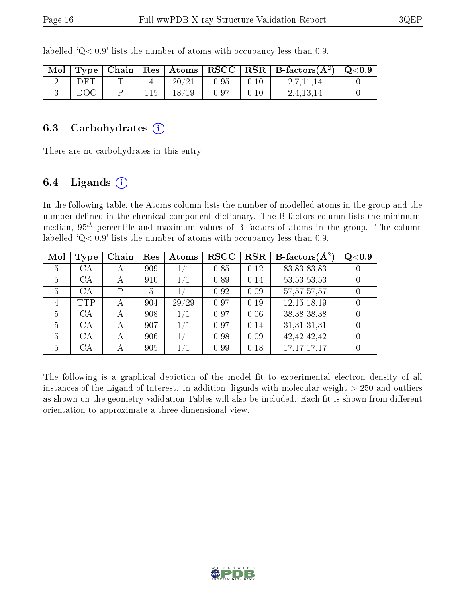| Mol |     |  |       |      |      | Type   Chain   Res   Atoms   RSCC   RSR   B-factors $(\AA^2)$   Q<0.9 |  |
|-----|-----|--|-------|------|------|-----------------------------------------------------------------------|--|
|     | DET |  | 20/21 | 0.95 | 0.10 |                                                                       |  |
|     | DOC |  | 18/19 | 0.97 | 0.10 | 2.4.13.14                                                             |  |

labelled  $Q< 0.9$  lists the number of atoms with occupancy less than 0.9.

#### 6.3 Carbohydrates  $(i)$

There are no carbohydrates in this entry.

#### 6.4 Ligands  $(i)$

In the following table, the Atoms column lists the number of modelled atoms in the group and the number defined in the chemical component dictionary. The B-factors column lists the minimum, median,  $95<sup>th</sup>$  percentile and maximum values of B factors of atoms in the group. The column labelled  $Q < 0.9$ ' lists the number of atoms with occupancy less than 0.9.

| Mol | Type | Chain | Res | Atoms | <b>RSCC</b> | <b>RSR</b> | B-factors $\overline{(\mathbf{A}^2)}$ | Q <sub>0.9</sub> |
|-----|------|-------|-----|-------|-------------|------------|---------------------------------------|------------------|
| 5   | CА   | А     | 909 | 1/1   | 0.85        | 0.12       | 83, 83, 83, 83                        |                  |
| 5   | CA   | А     | 910 | 1/1   | 0.89        | 0.14       | 53, 53, 53, 53                        |                  |
| 5   | CA   | D     | 5   | 1/1   | 0.92        | 0.09       | 57, 57, 57, 57                        |                  |
| 4   | TTP  |       | 904 | 29/29 | 0.97        | 0.19       | 12, 15, 18, 19                        |                  |
| 5   | CA   | А     | 908 | 1/1   | 0.97        | 0.06       | 38, 38, 38, 38                        |                  |
| 5   | CA   | А     | 907 | 1/1   | 0.97        | 0.14       | 31,31,31,31                           |                  |
| 5   | CA   | А     | 906 | 1/1   | 0.98        | 0.09       | 42, 42, 42, 42                        |                  |
| 5   | СA   |       | 905 | /1    | 0.99        | 0.18       | 17, 17, 17, 17                        |                  |

The following is a graphical depiction of the model fit to experimental electron density of all instances of the Ligand of Interest. In addition, ligands with molecular weight > 250 and outliers as shown on the geometry validation Tables will also be included. Each fit is shown from different orientation to approximate a three-dimensional view.